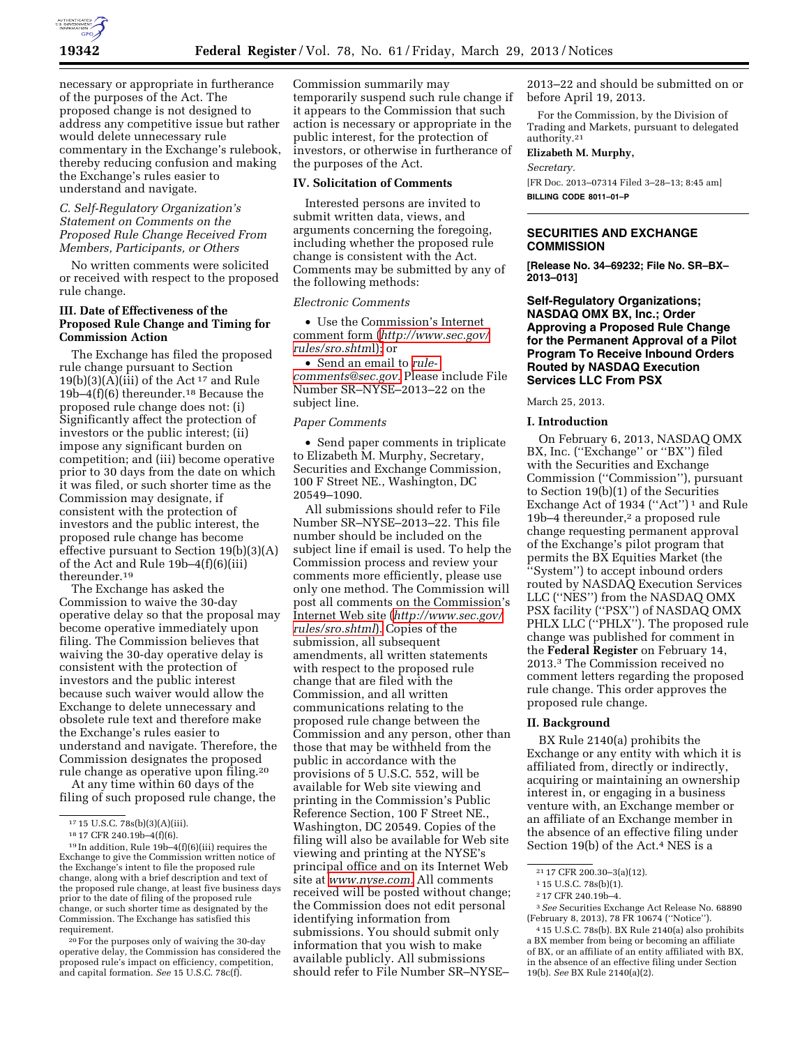

necessary or appropriate in furtherance of the purposes of the Act. The proposed change is not designed to address any competitive issue but rather would delete unnecessary rule commentary in the Exchange's rulebook, thereby reducing confusion and making the Exchange's rules easier to understand and navigate.

### *C. Self-Regulatory Organization's Statement on Comments on the Proposed Rule Change Received From Members, Participants, or Others*

No written comments were solicited or received with respect to the proposed rule change.

### **III. Date of Effectiveness of the Proposed Rule Change and Timing for Commission Action**

The Exchange has filed the proposed rule change pursuant to Section  $19(b)(3)(A)(iii)$  of the Act<sup>17</sup> and Rule 19b–4(f)(6) thereunder.18 Because the proposed rule change does not: (i) Significantly affect the protection of investors or the public interest; (ii) impose any significant burden on competition; and (iii) become operative prior to 30 days from the date on which it was filed, or such shorter time as the Commission may designate, if consistent with the protection of investors and the public interest, the proposed rule change has become effective pursuant to Section 19(b)(3)(A) of the Act and Rule 19b–4(f)(6)(iii) thereunder.19

The Exchange has asked the Commission to waive the 30-day operative delay so that the proposal may become operative immediately upon filing. The Commission believes that waiving the 30-day operative delay is consistent with the protection of investors and the public interest because such waiver would allow the Exchange to delete unnecessary and obsolete rule text and therefore make the Exchange's rules easier to understand and navigate. Therefore, the Commission designates the proposed rule change as operative upon filing.20

At any time within 60 days of the filing of such proposed rule change, the

20For the purposes only of waiving the 30-day operative delay, the Commission has considered the proposed rule's impact on efficiency, competition, and capital formation. *See* 15 U.S.C. 78c(f).

Commission summarily may temporarily suspend such rule change if it appears to the Commission that such action is necessary or appropriate in the public interest, for the protection of investors, or otherwise in furtherance of the purposes of the Act.

#### **IV. Solicitation of Comments**

Interested persons are invited to submit written data, views, and arguments concerning the foregoing, including whether the proposed rule change is consistent with the Act. Comments may be submitted by any of the following methods:

#### *Electronic Comments*

• Use the Commission's Internet comment form (*[http://www.sec.gov/](http://www.sec.gov/rules/sro.shtml)  [rules/sro.shtm](http://www.sec.gov/rules/sro.shtml)*l); or

• Send an email to *[rule](mailto:rule-comments@sec.gov)[comments@sec.gov.](mailto:rule-comments@sec.gov)* Please include File Number SR–NYSE–2013–22 on the subject line.

# *Paper Comments*

• Send paper comments in triplicate to Elizabeth M. Murphy, Secretary, Securities and Exchange Commission, 100 F Street NE., Washington, DC 20549–1090.

All submissions should refer to File Number SR–NYSE–2013–22. This file number should be included on the subject line if email is used. To help the Commission process and review your comments more efficiently, please use only one method. The Commission will post all comments on the Commission's Internet Web site (*[http://www.sec.gov/](http://www.sec.gov/rules/sro.shtml)  [rules/sro.shtml](http://www.sec.gov/rules/sro.shtml)*). Copies of the submission, all subsequent amendments, all written statements with respect to the proposed rule change that are filed with the Commission, and all written communications relating to the proposed rule change between the Commission and any person, other than those that may be withheld from the public in accordance with the provisions of 5 U.S.C. 552, will be available for Web site viewing and printing in the Commission's Public Reference Section, 100 F Street NE., Washington, DC 20549. Copies of the filing will also be available for Web site viewing and printing at the NYSE's principal office and on its Internet Web site at *[www.nyse.com.](http://www.nyse.com)* All comments received will be posted without change; the Commission does not edit personal identifying information from submissions. You should submit only information that you wish to make available publicly. All submissions should refer to File Number SR–NYSE–

2013–22 and should be submitted on or before April 19, 2013.

For the Commission, by the Division of Trading and Markets, pursuant to delegated authority.21

**Elizabeth M. Murphy,** 

*Secretary.* 

[FR Doc. 2013–07314 Filed 3–28–13; 8:45 am] **BILLING CODE 8011–01–P** 

### **SECURITIES AND EXCHANGE COMMISSION**

**[Release No. 34–69232; File No. SR–BX– 2013–013]** 

**Self-Regulatory Organizations; NASDAQ OMX BX, Inc.; Order Approving a Proposed Rule Change for the Permanent Approval of a Pilot Program To Receive Inbound Orders Routed by NASDAQ Execution Services LLC From PSX** 

March 25, 2013.

#### **I. Introduction**

On February 6, 2013, NASDAQ OMX BX, Inc. (''Exchange'' or ''BX'') filed with the Securities and Exchange Commission (''Commission''), pursuant to Section 19(b)(1) of the Securities Exchange Act of 1934 ("Act")<sup>1</sup> and Rule 19b–4 thereunder,2 a proposed rule change requesting permanent approval of the Exchange's pilot program that permits the BX Equities Market (the ''System'') to accept inbound orders routed by NASDAQ Execution Services LLC (''NES'') from the NASDAQ OMX PSX facility (''PSX'') of NASDAQ OMX PHLX LLC (''PHLX''). The proposed rule change was published for comment in the **Federal Register** on February 14, 2013.3 The Commission received no comment letters regarding the proposed rule change. This order approves the proposed rule change.

#### **II. Background**

BX Rule 2140(a) prohibits the Exchange or any entity with which it is affiliated from, directly or indirectly, acquiring or maintaining an ownership interest in, or engaging in a business venture with, an Exchange member or an affiliate of an Exchange member in the absence of an effective filing under Section 19(b) of the Act.4 NES is a

<sup>&</sup>lt;sup>17</sup> 15 U.S.C. 78s(b)(3)(A)(iii).<br><sup>18</sup> 17 CFR 240.19b–4(f)(6).<br><sup>19</sup> In addition, Rule 19b–4(f)(6)(iii) requires the Exchange to give the Commission written notice of the Exchange's intent to file the proposed rule change, along with a brief description and text of the proposed rule change, at least five business days prior to the date of filing of the proposed rule change, or such shorter time as designated by the Commission. The Exchange has satisfied this requirement.

<sup>21</sup> 17 CFR 200.30–3(a)(12).

<sup>1</sup> 15 U.S.C. 78s(b)(1).

<sup>2</sup> 17 CFR 240.19b–4.

<sup>3</sup>*See* Securities Exchange Act Release No. 68890 (February 8, 2013), 78 FR 10674 (''Notice'').

<sup>4</sup> 15 U.S.C. 78s(b). BX Rule 2140(a) also prohibits a BX member from being or becoming an affiliate of BX, or an affiliate of an entity affiliated with BX, in the absence of an effective filing under Section 19(b). *See* BX Rule 2140(a)(2).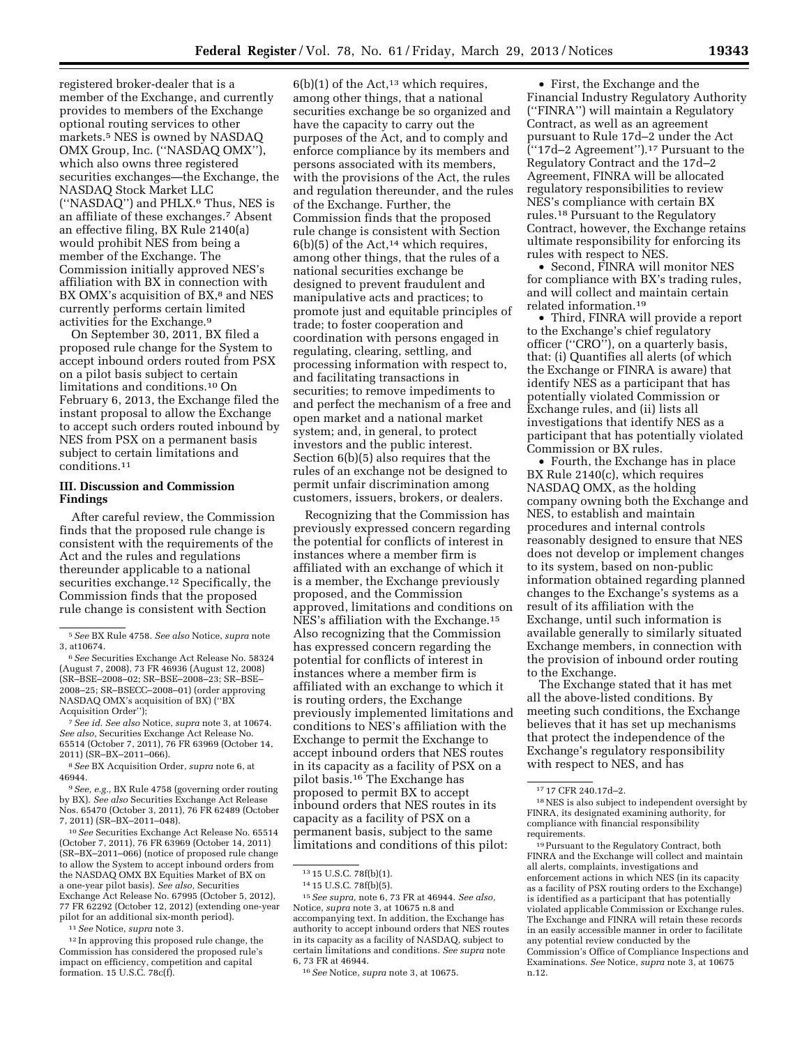registered broker-dealer that is a member of the Exchange, and currently provides to members of the Exchange optional routing services to other markets.5 NES is owned by NASDAQ OMX Group, Inc. (''NASDAQ OMX''), which also owns three registered securities exchanges—the Exchange, the NASDAQ Stock Market LLC (''NASDAQ'') and PHLX.6 Thus, NES is an affiliate of these exchanges.7 Absent an effective filing, BX Rule 2140(a) would prohibit NES from being a member of the Exchange. The Commission initially approved NES's affiliation with BX in connection with BX OMX's acquisition of BX,<sup>8</sup> and NES currently performs certain limited activities for the Exchange.9

On September 30, 2011, BX filed a proposed rule change for the System to accept inbound orders routed from PSX on a pilot basis subject to certain limitations and conditions.10 On February 6, 2013, the Exchange filed the instant proposal to allow the Exchange to accept such orders routed inbound by NES from PSX on a permanent basis subject to certain limitations and conditions.11

## **III. Discussion and Commission Findings**

After careful review, the Commission finds that the proposed rule change is consistent with the requirements of the Act and the rules and regulations thereunder applicable to a national securities exchange.12 Specifically, the Commission finds that the proposed rule change is consistent with Section

7*See id. See also* Notice, *supra* note 3, at 10674. *See also,* Securities Exchange Act Release No. 65514 (October 7, 2011), 76 FR 63969 (October 14, 2011) (SR–BX–2011–066).

8*See* BX Acquisition Order, *supra* note 6, at 46944.

9*See, e.g.,* BX Rule 4758 (governing order routing by BX). *See also* Securities Exchange Act Release Nos. 65470 (October 3, 2011), 76 FR 62489 (October 7, 2011) (SR–BX–2011–048).

10*See* Securities Exchange Act Release No. 65514 (October 7, 2011), 76 FR 63969 (October 14, 2011) (SR–BX–2011–066) (notice of proposed rule change to allow the System to accept inbound orders from the NASDAQ OMX BX Equities Market of BX on a one-year pilot basis). *See also,* Securities Exchange Act Release No. 67995 (October 5, 2012), 77 FR 62292 (October 12, 2012) (extending one-year pilot for an additional six-month period).

11*See* Notice, *supra* note 3.

12 In approving this proposed rule change, the Commission has considered the proposed rule's impact on efficiency, competition and capital formation. 15 U.S.C. 78c(f).

 $6(b)(1)$  of the Act,<sup>13</sup> which requires, among other things, that a national securities exchange be so organized and have the capacity to carry out the purposes of the Act, and to comply and enforce compliance by its members and persons associated with its members, with the provisions of the Act, the rules and regulation thereunder, and the rules of the Exchange. Further, the Commission finds that the proposed rule change is consistent with Section  $6(b)(5)$  of the Act,<sup>14</sup> which requires, among other things, that the rules of a national securities exchange be designed to prevent fraudulent and manipulative acts and practices; to promote just and equitable principles of trade; to foster cooperation and coordination with persons engaged in regulating, clearing, settling, and processing information with respect to, and facilitating transactions in securities; to remove impediments to and perfect the mechanism of a free and open market and a national market system; and, in general, to protect investors and the public interest. Section 6(b)(5) also requires that the rules of an exchange not be designed to permit unfair discrimination among customers, issuers, brokers, or dealers.

Recognizing that the Commission has previously expressed concern regarding the potential for conflicts of interest in instances where a member firm is affiliated with an exchange of which it is a member, the Exchange previously proposed, and the Commission approved, limitations and conditions on NES's affiliation with the Exchange.15 Also recognizing that the Commission has expressed concern regarding the potential for conflicts of interest in instances where a member firm is affiliated with an exchange to which it is routing orders, the Exchange previously implemented limitations and conditions to NES's affiliation with the Exchange to permit the Exchange to accept inbound orders that NES routes in its capacity as a facility of PSX on a pilot basis.16 The Exchange has proposed to permit BX to accept inbound orders that NES routes in its capacity as a facility of PSX on a permanent basis, subject to the same limitations and conditions of this pilot:

15*See supra,* note 6, 73 FR at 46944. *See also,*  Notice, *supra* note 3, at 10675 n.8 and accompanying text. In addition, the Exchange has authority to accept inbound orders that NES routes in its capacity as a facility of NASDAQ, subject to certain limitations and conditions. *See supra* note 6, 73 FR at 46944.

• First, the Exchange and the Financial Industry Regulatory Authority (''FINRA'') will maintain a Regulatory Contract, as well as an agreement pursuant to Rule 17d–2 under the Act (''17d–2 Agreement'').17 Pursuant to the Regulatory Contract and the 17d–2 Agreement, FINRA will be allocated regulatory responsibilities to review NES's compliance with certain BX rules.18 Pursuant to the Regulatory Contract, however, the Exchange retains ultimate responsibility for enforcing its rules with respect to NES.

• Second, FINRA will monitor NES for compliance with BX's trading rules, and will collect and maintain certain related information.19

• Third, FINRA will provide a report to the Exchange's chief regulatory officer (''CRO''), on a quarterly basis, that: (i) Quantifies all alerts (of which the Exchange or FINRA is aware) that identify NES as a participant that has potentially violated Commission or Exchange rules, and (ii) lists all investigations that identify NES as a participant that has potentially violated Commission or BX rules.

• Fourth, the Exchange has in place BX Rule 2140(c), which requires NASDAQ OMX, as the holding company owning both the Exchange and NES, to establish and maintain procedures and internal controls reasonably designed to ensure that NES does not develop or implement changes to its system, based on non-public information obtained regarding planned changes to the Exchange's systems as a result of its affiliation with the Exchange, until such information is available generally to similarly situated Exchange members, in connection with the provision of inbound order routing to the Exchange.

The Exchange stated that it has met all the above-listed conditions. By meeting such conditions, the Exchange believes that it has set up mechanisms that protect the independence of the Exchange's regulatory responsibility with respect to NES, and has

19Pursuant to the Regulatory Contract, both FINRA and the Exchange will collect and maintain all alerts, complaints, investigations and enforcement actions in which NES (in its capacity as a facility of PSX routing orders to the Exchange) is identified as a participant that has potentially violated applicable Commission or Exchange rules. The Exchange and FINRA will retain these records in an easily accessible manner in order to facilitate any potential review conducted by the Commission's Office of Compliance Inspections and Examinations. *See* Notice, *supra* note 3, at 10675 n.12.

<sup>5</sup>*See* BX Rule 4758. *See also* Notice, *supra* note 3, at10674.

<sup>6</sup>*See* Securities Exchange Act Release No. 58324 (August 7, 2008), 73 FR 46936 (August 12, 2008) (SR–BSE–2008–02; SR–BSE–2008–23; SR–BSE– 2008–25; SR–BSECC–2008–01) (order approving NASDAQ OMX's acquisition of BX) (''BX Acquisition Order'');

<sup>13</sup> 15 U.S.C. 78f(b)(1).

<sup>14</sup> 15 U.S.C. 78f(b)(5).

<sup>16</sup>*See* Notice, *supra* note 3, at 10675.

<sup>17</sup> 17 CFR 240.17d–2.

<sup>18</sup>NES is also subject to independent oversight by FINRA, its designated examining authority, for compliance with financial responsibility requirements.